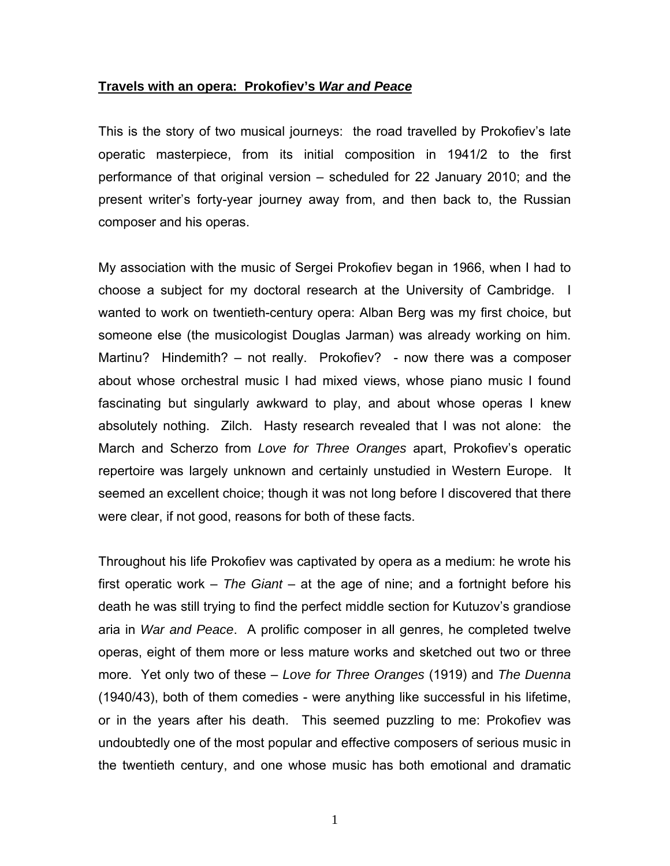## **Travels with an opera: Prokofiev's** *War and Peace*

This is the story of two musical journeys: the road travelled by Prokofiev's late operatic masterpiece, from its initial composition in 1941/2 to the first performance of that original version – scheduled for 22 January 2010; and the present writer's forty-year journey away from, and then back to, the Russian composer and his operas.

My association with the music of Sergei Prokofiev began in 1966, when I had to choose a subject for my doctoral research at the University of Cambridge. I wanted to work on twentieth-century opera: Alban Berg was my first choice, but someone else (the musicologist Douglas Jarman) was already working on him. Martinu? Hindemith? – not really. Prokofiev? - now there was a composer about whose orchestral music I had mixed views, whose piano music I found fascinating but singularly awkward to play, and about whose operas I knew absolutely nothing. Zilch. Hasty research revealed that I was not alone: the March and Scherzo from *Love for Three Oranges* apart, Prokofiev's operatic repertoire was largely unknown and certainly unstudied in Western Europe. It seemed an excellent choice; though it was not long before I discovered that there were clear, if not good, reasons for both of these facts.

Throughout his life Prokofiev was captivated by opera as a medium: he wrote his first operatic work – *The Giant* – at the age of nine; and a fortnight before his death he was still trying to find the perfect middle section for Kutuzov's grandiose aria in *War and Peace*. A prolific composer in all genres, he completed twelve operas, eight of them more or less mature works and sketched out two or three more. Yet only two of these – *Love for Three Oranges* (1919) and *The Duenna*  (1940/43), both of them comedies - were anything like successful in his lifetime, or in the years after his death. This seemed puzzling to me: Prokofiev was undoubtedly one of the most popular and effective composers of serious music in the twentieth century, and one whose music has both emotional and dramatic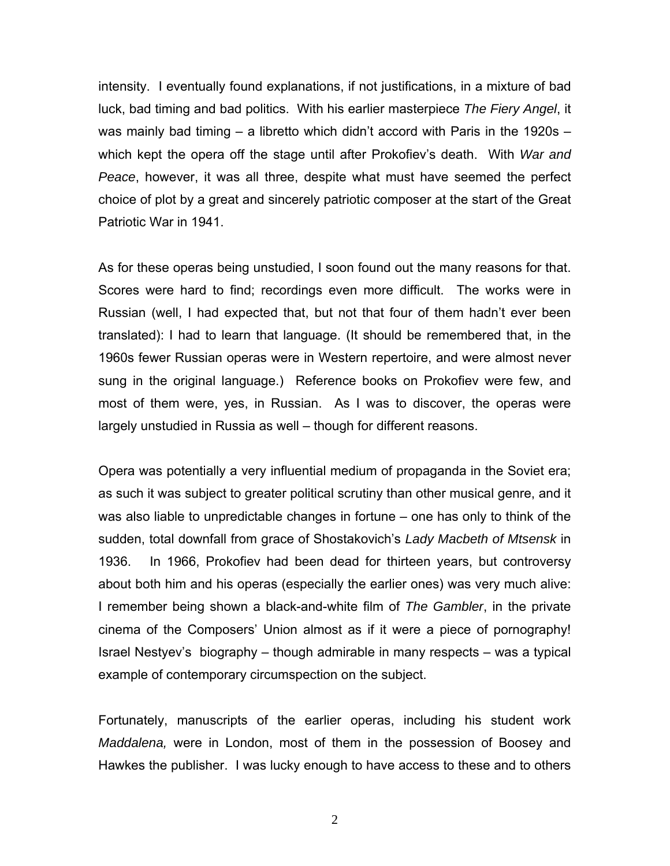intensity. I eventually found explanations, if not justifications, in a mixture of bad luck, bad timing and bad politics. With his earlier masterpiece *The Fiery Angel*, it was mainly bad timing – a libretto which didn't accord with Paris in the 1920s – which kept the opera off the stage until after Prokofiev's death. With *War and Peace*, however, it was all three, despite what must have seemed the perfect choice of plot by a great and sincerely patriotic composer at the start of the Great Patriotic War in 1941.

As for these operas being unstudied, I soon found out the many reasons for that. Scores were hard to find; recordings even more difficult. The works were in Russian (well, I had expected that, but not that four of them hadn't ever been translated): I had to learn that language. (It should be remembered that, in the 1960s fewer Russian operas were in Western repertoire, and were almost never sung in the original language.) Reference books on Prokofiev were few, and most of them were, yes, in Russian. As I was to discover, the operas were largely unstudied in Russia as well – though for different reasons.

Opera was potentially a very influential medium of propaganda in the Soviet era; as such it was subject to greater political scrutiny than other musical genre, and it was also liable to unpredictable changes in fortune – one has only to think of the sudden, total downfall from grace of Shostakovich's *Lady Macbeth of Mtsensk* in 1936. In 1966, Prokofiev had been dead for thirteen years, but controversy about both him and his operas (especially the earlier ones) was very much alive: I remember being shown a black-and-white film of *The Gambler*, in the private cinema of the Composers' Union almost as if it were a piece of pornography! Israel Nestyev's biography – though admirable in many respects – was a typical example of contemporary circumspection on the subject.

Fortunately, manuscripts of the earlier operas, including his student work *Maddalena,* were in London, most of them in the possession of Boosey and Hawkes the publisher. I was lucky enough to have access to these and to others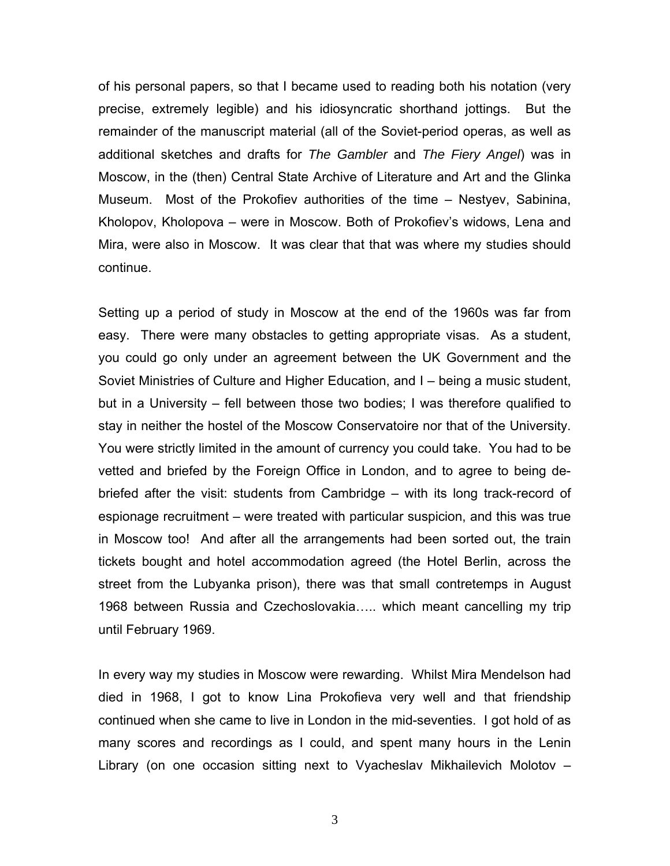of his personal papers, so that I became used to reading both his notation (very precise, extremely legible) and his idiosyncratic shorthand jottings. But the remainder of the manuscript material (all of the Soviet-period operas, as well as additional sketches and drafts for *The Gambler* and *The Fiery Angel*) was in Moscow, in the (then) Central State Archive of Literature and Art and the Glinka Museum. Most of the Prokofiev authorities of the time – Nestyev, Sabinina, Kholopov, Kholopova – were in Moscow. Both of Prokofiev's widows, Lena and Mira, were also in Moscow. It was clear that that was where my studies should continue.

Setting up a period of study in Moscow at the end of the 1960s was far from easy. There were many obstacles to getting appropriate visas. As a student, you could go only under an agreement between the UK Government and the Soviet Ministries of Culture and Higher Education, and I – being a music student, but in a University – fell between those two bodies; I was therefore qualified to stay in neither the hostel of the Moscow Conservatoire nor that of the University. You were strictly limited in the amount of currency you could take. You had to be vetted and briefed by the Foreign Office in London, and to agree to being debriefed after the visit: students from Cambridge – with its long track-record of espionage recruitment – were treated with particular suspicion, and this was true in Moscow too! And after all the arrangements had been sorted out, the train tickets bought and hotel accommodation agreed (the Hotel Berlin, across the street from the Lubyanka prison), there was that small contretemps in August 1968 between Russia and Czechoslovakia….. which meant cancelling my trip until February 1969.

In every way my studies in Moscow were rewarding. Whilst Mira Mendelson had died in 1968, I got to know Lina Prokofieva very well and that friendship continued when she came to live in London in the mid-seventies. I got hold of as many scores and recordings as I could, and spent many hours in the Lenin Library (on one occasion sitting next to Vyacheslav Mikhailevich Molotov –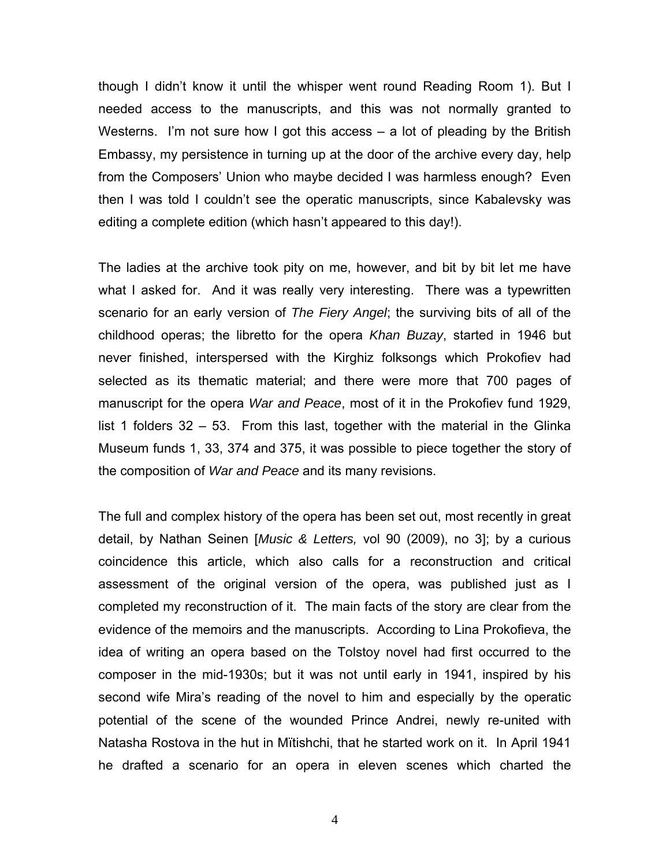though I didn't know it until the whisper went round Reading Room 1). But I needed access to the manuscripts, and this was not normally granted to Westerns. I'm not sure how I got this access – a lot of pleading by the British Embassy, my persistence in turning up at the door of the archive every day, help from the Composers' Union who maybe decided I was harmless enough? Even then I was told I couldn't see the operatic manuscripts, since Kabalevsky was editing a complete edition (which hasn't appeared to this day!).

The ladies at the archive took pity on me, however, and bit by bit let me have what I asked for. And it was really very interesting. There was a typewritten scenario for an early version of *The Fiery Angel*; the surviving bits of all of the childhood operas; the libretto for the opera *Khan Buzay*, started in 1946 but never finished, interspersed with the Kirghiz folksongs which Prokofiev had selected as its thematic material; and there were more that 700 pages of manuscript for the opera *War and Peace*, most of it in the Prokofiev fund 1929, list 1 folders 32 – 53. From this last, together with the material in the Glinka Museum funds 1, 33, 374 and 375, it was possible to piece together the story of the composition of *War and Peace* and its many revisions.

The full and complex history of the opera has been set out, most recently in great detail, by Nathan Seinen [*Music & Letters,* vol 90 (2009), no 3]; by a curious coincidence this article, which also calls for a reconstruction and critical assessment of the original version of the opera, was published just as I completed my reconstruction of it. The main facts of the story are clear from the evidence of the memoirs and the manuscripts. According to Lina Prokofieva, the idea of writing an opera based on the Tolstoy novel had first occurred to the composer in the mid-1930s; but it was not until early in 1941, inspired by his second wife Mira's reading of the novel to him and especially by the operatic potential of the scene of the wounded Prince Andrei, newly re-united with Natasha Rostova in the hut in Mїtishchi, that he started work on it. In April 1941 he drafted a scenario for an opera in eleven scenes which charted the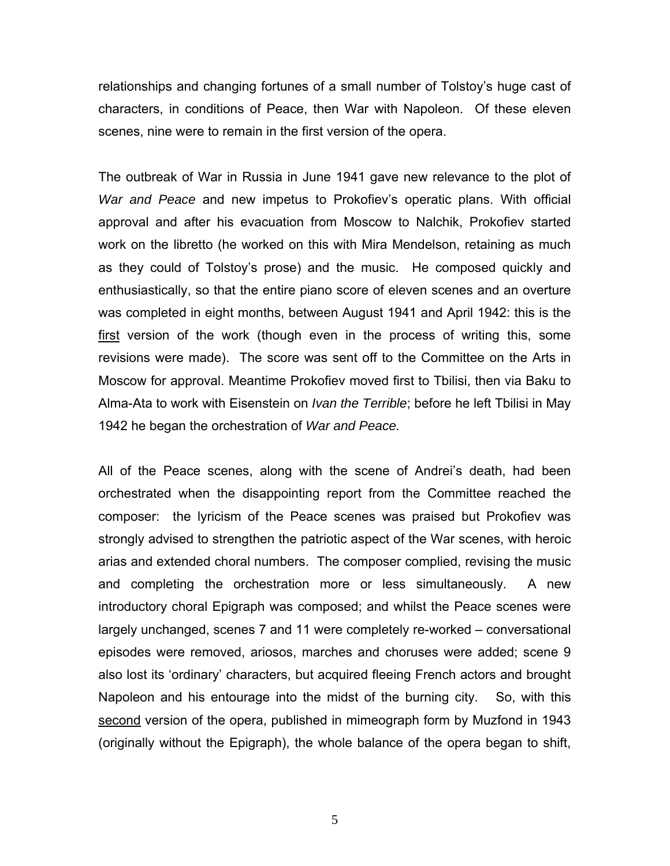relationships and changing fortunes of a small number of Tolstoy's huge cast of characters, in conditions of Peace, then War with Napoleon. Of these eleven scenes, nine were to remain in the first version of the opera.

The outbreak of War in Russia in June 1941 gave new relevance to the plot of *War and Peace* and new impetus to Prokofiev's operatic plans. With official approval and after his evacuation from Moscow to Nalchik, Prokofiev started work on the libretto (he worked on this with Mira Mendelson, retaining as much as they could of Tolstoy's prose) and the music. He composed quickly and enthusiastically, so that the entire piano score of eleven scenes and an overture was completed in eight months, between August 1941 and April 1942: this is the first version of the work (though even in the process of writing this, some revisions were made). The score was sent off to the Committee on the Arts in Moscow for approval. Meantime Prokofiev moved first to Tbilisi, then via Baku to Alma-Ata to work with Eisenstein on *Ivan the Terrible*; before he left Tbilisi in May 1942 he began the orchestration of *War and Peace.* 

All of the Peace scenes, along with the scene of Andrei's death, had been orchestrated when the disappointing report from the Committee reached the composer: the lyricism of the Peace scenes was praised but Prokofiev was strongly advised to strengthen the patriotic aspect of the War scenes, with heroic arias and extended choral numbers. The composer complied, revising the music and completing the orchestration more or less simultaneously. A new introductory choral Epigraph was composed; and whilst the Peace scenes were largely unchanged, scenes 7 and 11 were completely re-worked – conversational episodes were removed, ariosos, marches and choruses were added; scene 9 also lost its 'ordinary' characters, but acquired fleeing French actors and brought Napoleon and his entourage into the midst of the burning city. So, with this second version of the opera, published in mimeograph form by Muzfond in 1943 (originally without the Epigraph), the whole balance of the opera began to shift,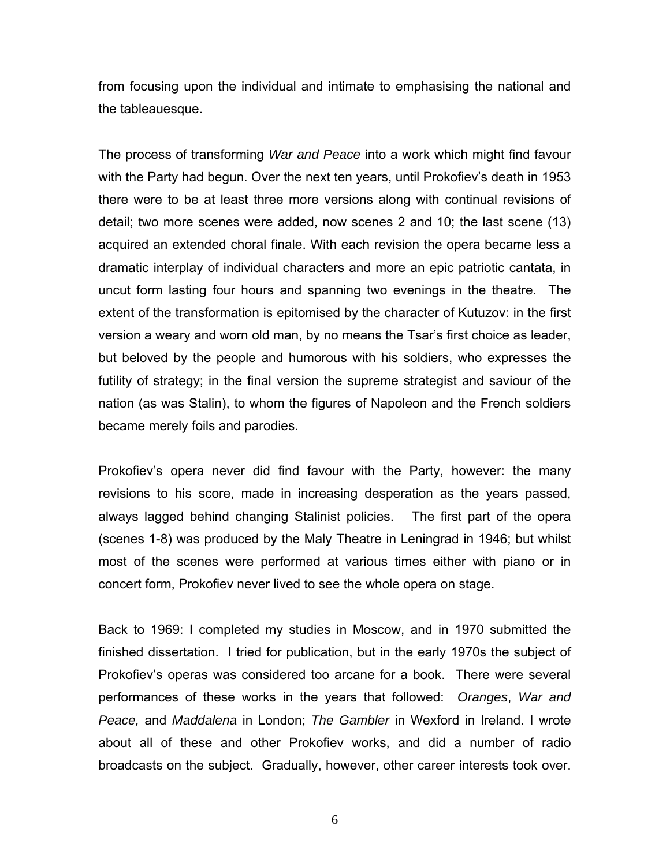from focusing upon the individual and intimate to emphasising the national and the tableauesque.

The process of transforming *War and Peace* into a work which might find favour with the Party had begun. Over the next ten years, until Prokofiev's death in 1953 there were to be at least three more versions along with continual revisions of detail; two more scenes were added, now scenes 2 and 10; the last scene (13) acquired an extended choral finale. With each revision the opera became less a dramatic interplay of individual characters and more an epic patriotic cantata, in uncut form lasting four hours and spanning two evenings in the theatre. The extent of the transformation is epitomised by the character of Kutuzov: in the first version a weary and worn old man, by no means the Tsar's first choice as leader, but beloved by the people and humorous with his soldiers, who expresses the futility of strategy; in the final version the supreme strategist and saviour of the nation (as was Stalin), to whom the figures of Napoleon and the French soldiers became merely foils and parodies.

Prokofiev's opera never did find favour with the Party, however: the many revisions to his score, made in increasing desperation as the years passed, always lagged behind changing Stalinist policies. The first part of the opera (scenes 1-8) was produced by the Maly Theatre in Leningrad in 1946; but whilst most of the scenes were performed at various times either with piano or in concert form, Prokofiev never lived to see the whole opera on stage.

Back to 1969: I completed my studies in Moscow, and in 1970 submitted the finished dissertation. I tried for publication, but in the early 1970s the subject of Prokofiev's operas was considered too arcane for a book. There were several performances of these works in the years that followed: *Oranges*, *War and Peace,* and *Maddalena* in London; *The Gambler* in Wexford in Ireland. I wrote about all of these and other Prokofiev works, and did a number of radio broadcasts on the subject. Gradually, however, other career interests took over.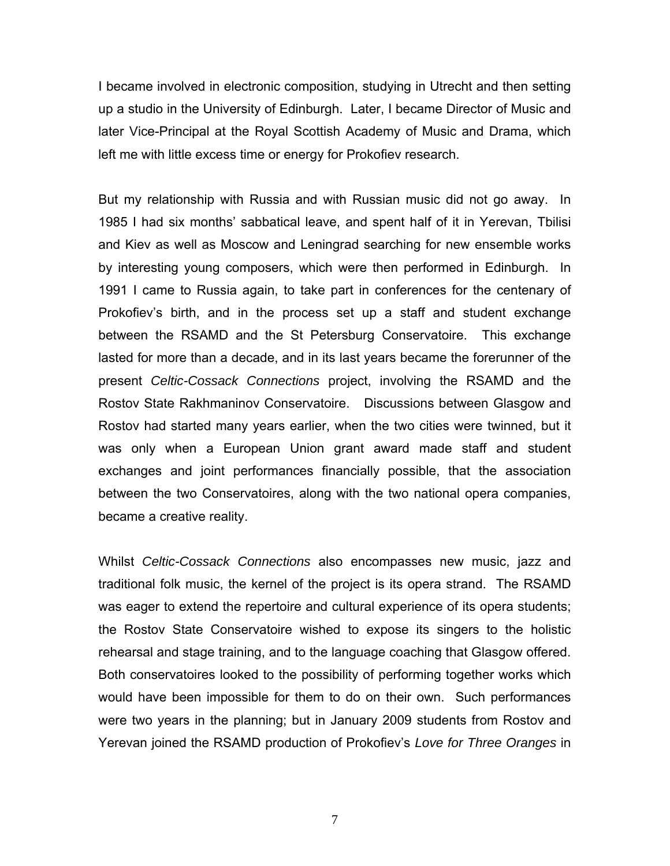I became involved in electronic composition, studying in Utrecht and then setting up a studio in the University of Edinburgh. Later, I became Director of Music and later Vice-Principal at the Royal Scottish Academy of Music and Drama, which left me with little excess time or energy for Prokofiev research.

But my relationship with Russia and with Russian music did not go away. In 1985 I had six months' sabbatical leave, and spent half of it in Yerevan, Tbilisi and Kiev as well as Moscow and Leningrad searching for new ensemble works by interesting young composers, which were then performed in Edinburgh. In 1991 I came to Russia again, to take part in conferences for the centenary of Prokofiev's birth, and in the process set up a staff and student exchange between the RSAMD and the St Petersburg Conservatoire. This exchange lasted for more than a decade, and in its last years became the forerunner of the present *Celtic-Cossack Connections* project, involving the RSAMD and the Rostov State Rakhmaninov Conservatoire. Discussions between Glasgow and Rostov had started many years earlier, when the two cities were twinned, but it was only when a European Union grant award made staff and student exchanges and joint performances financially possible, that the association between the two Conservatoires, along with the two national opera companies, became a creative reality.

Whilst *Celtic-Cossack Connections* also encompasses new music, jazz and traditional folk music, the kernel of the project is its opera strand. The RSAMD was eager to extend the repertoire and cultural experience of its opera students; the Rostov State Conservatoire wished to expose its singers to the holistic rehearsal and stage training, and to the language coaching that Glasgow offered. Both conservatoires looked to the possibility of performing together works which would have been impossible for them to do on their own. Such performances were two years in the planning; but in January 2009 students from Rostov and Yerevan joined the RSAMD production of Prokofiev's *Love for Three Oranges* in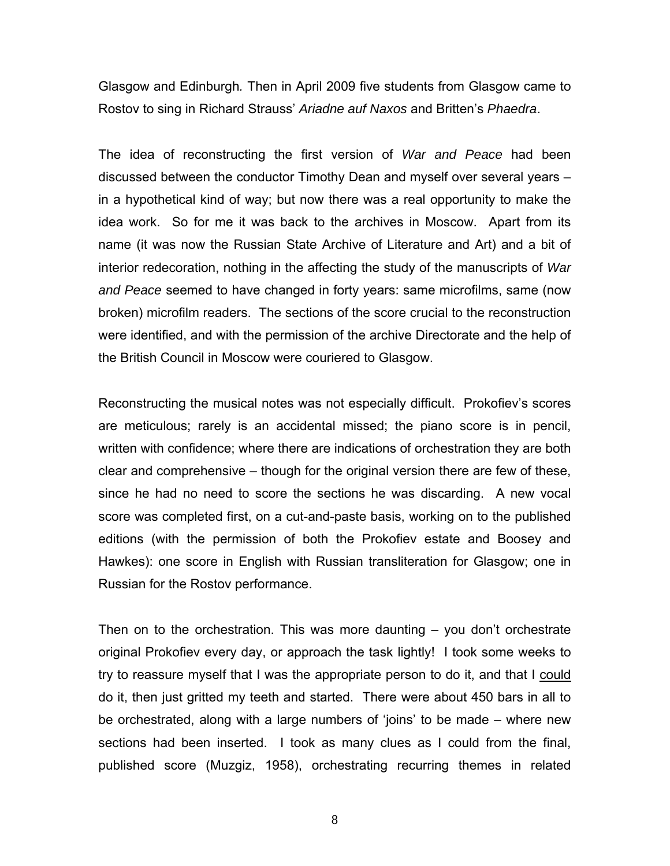Glasgow and Edinburgh*.* Then in April 2009 five students from Glasgow came to Rostov to sing in Richard Strauss' *Ariadne auf Naxos* and Britten's *Phaedra*.

The idea of reconstructing the first version of *War and Peace* had been discussed between the conductor Timothy Dean and myself over several years – in a hypothetical kind of way; but now there was a real opportunity to make the idea work. So for me it was back to the archives in Moscow. Apart from its name (it was now the Russian State Archive of Literature and Art) and a bit of interior redecoration, nothing in the affecting the study of the manuscripts of *War and Peace* seemed to have changed in forty years: same microfilms, same (now broken) microfilm readers. The sections of the score crucial to the reconstruction were identified, and with the permission of the archive Directorate and the help of the British Council in Moscow were couriered to Glasgow.

Reconstructing the musical notes was not especially difficult. Prokofiev's scores are meticulous; rarely is an accidental missed; the piano score is in pencil, written with confidence; where there are indications of orchestration they are both clear and comprehensive – though for the original version there are few of these, since he had no need to score the sections he was discarding. A new vocal score was completed first, on a cut-and-paste basis, working on to the published editions (with the permission of both the Prokofiev estate and Boosey and Hawkes): one score in English with Russian transliteration for Glasgow; one in Russian for the Rostov performance.

Then on to the orchestration. This was more daunting – you don't orchestrate original Prokofiev every day, or approach the task lightly! I took some weeks to try to reassure myself that I was the appropriate person to do it, and that I could do it, then just gritted my teeth and started. There were about 450 bars in all to be orchestrated, along with a large numbers of 'joins' to be made – where new sections had been inserted. I took as many clues as I could from the final, published score (Muzgiz, 1958), orchestrating recurring themes in related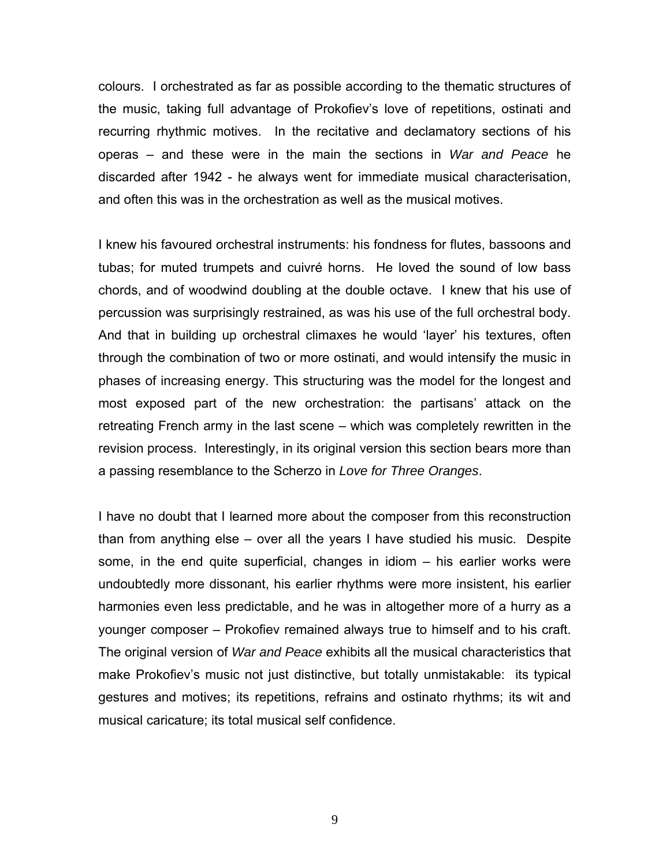colours. I orchestrated as far as possible according to the thematic structures of the music, taking full advantage of Prokofiev's love of repetitions, ostinati and recurring rhythmic motives. In the recitative and declamatory sections of his operas – and these were in the main the sections in *War and Peace* he discarded after 1942 - he always went for immediate musical characterisation, and often this was in the orchestration as well as the musical motives.

I knew his favoured orchestral instruments: his fondness for flutes, bassoons and tubas; for muted trumpets and cuivré horns. He loved the sound of low bass chords, and of woodwind doubling at the double octave. I knew that his use of percussion was surprisingly restrained, as was his use of the full orchestral body. And that in building up orchestral climaxes he would 'layer' his textures, often through the combination of two or more ostinati, and would intensify the music in phases of increasing energy. This structuring was the model for the longest and most exposed part of the new orchestration: the partisans' attack on the retreating French army in the last scene – which was completely rewritten in the revision process. Interestingly, in its original version this section bears more than a passing resemblance to the Scherzo in *Love for Three Oranges*.

I have no doubt that I learned more about the composer from this reconstruction than from anything else – over all the years I have studied his music. Despite some, in the end quite superficial, changes in idiom – his earlier works were undoubtedly more dissonant, his earlier rhythms were more insistent, his earlier harmonies even less predictable, and he was in altogether more of a hurry as a younger composer – Prokofiev remained always true to himself and to his craft. The original version of *War and Peace* exhibits all the musical characteristics that make Prokofiev's music not just distinctive, but totally unmistakable: its typical gestures and motives; its repetitions, refrains and ostinato rhythms; its wit and musical caricature; its total musical self confidence.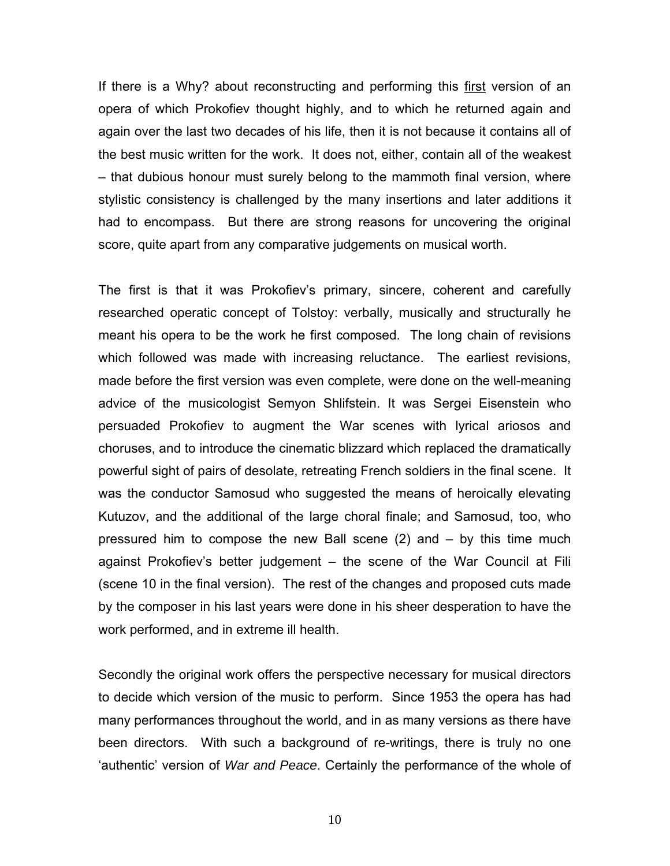If there is a Why? about reconstructing and performing this first version of an opera of which Prokofiev thought highly, and to which he returned again and again over the last two decades of his life, then it is not because it contains all of the best music written for the work. It does not, either, contain all of the weakest – that dubious honour must surely belong to the mammoth final version, where stylistic consistency is challenged by the many insertions and later additions it had to encompass. But there are strong reasons for uncovering the original score, quite apart from any comparative judgements on musical worth.

The first is that it was Prokofiev's primary, sincere, coherent and carefully researched operatic concept of Tolstoy: verbally, musically and structurally he meant his opera to be the work he first composed. The long chain of revisions which followed was made with increasing reluctance. The earliest revisions, made before the first version was even complete, were done on the well-meaning advice of the musicologist Semyon Shlifstein. It was Sergei Eisenstein who persuaded Prokofiev to augment the War scenes with lyrical ariosos and choruses, and to introduce the cinematic blizzard which replaced the dramatically powerful sight of pairs of desolate, retreating French soldiers in the final scene. It was the conductor Samosud who suggested the means of heroically elevating Kutuzov, and the additional of the large choral finale; and Samosud, too, who pressured him to compose the new Ball scene (2) and – by this time much against Prokofiev's better judgement *–* the scene of the War Council at Fili (scene 10 in the final version). The rest of the changes and proposed cuts made by the composer in his last years were done in his sheer desperation to have the work performed, and in extreme ill health.

Secondly the original work offers the perspective necessary for musical directors to decide which version of the music to perform. Since 1953 the opera has had many performances throughout the world, and in as many versions as there have been directors. With such a background of re-writings, there is truly no one 'authentic' version of *War and Peace*. Certainly the performance of the whole of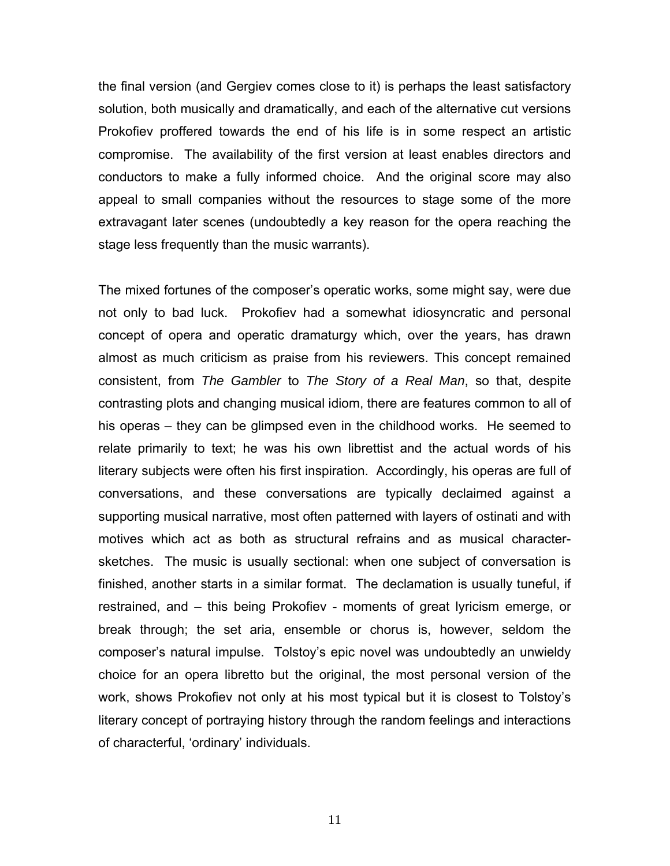the final version (and Gergiev comes close to it) is perhaps the least satisfactory solution, both musically and dramatically, and each of the alternative cut versions Prokofiev proffered towards the end of his life is in some respect an artistic compromise. The availability of the first version at least enables directors and conductors to make a fully informed choice. And the original score may also appeal to small companies without the resources to stage some of the more extravagant later scenes (undoubtedly a key reason for the opera reaching the stage less frequently than the music warrants).

The mixed fortunes of the composer's operatic works, some might say, were due not only to bad luck. Prokofiev had a somewhat idiosyncratic and personal concept of opera and operatic dramaturgy which, over the years, has drawn almost as much criticism as praise from his reviewers. This concept remained consistent, from *The Gambler* to *The Story of a Real Man*, so that, despite contrasting plots and changing musical idiom, there are features common to all of his operas – they can be glimpsed even in the childhood works. He seemed to relate primarily to text; he was his own librettist and the actual words of his literary subjects were often his first inspiration. Accordingly, his operas are full of conversations, and these conversations are typically declaimed against a supporting musical narrative, most often patterned with layers of ostinati and with motives which act as both as structural refrains and as musical charactersketches. The music is usually sectional: when one subject of conversation is finished, another starts in a similar format. The declamation is usually tuneful, if restrained, and – this being Prokofiev - moments of great lyricism emerge, or break through; the set aria, ensemble or chorus is, however, seldom the composer's natural impulse. Tolstoy's epic novel was undoubtedly an unwieldy choice for an opera libretto but the original, the most personal version of the work, shows Prokofiev not only at his most typical but it is closest to Tolstoy's literary concept of portraying history through the random feelings and interactions of characterful, 'ordinary' individuals.